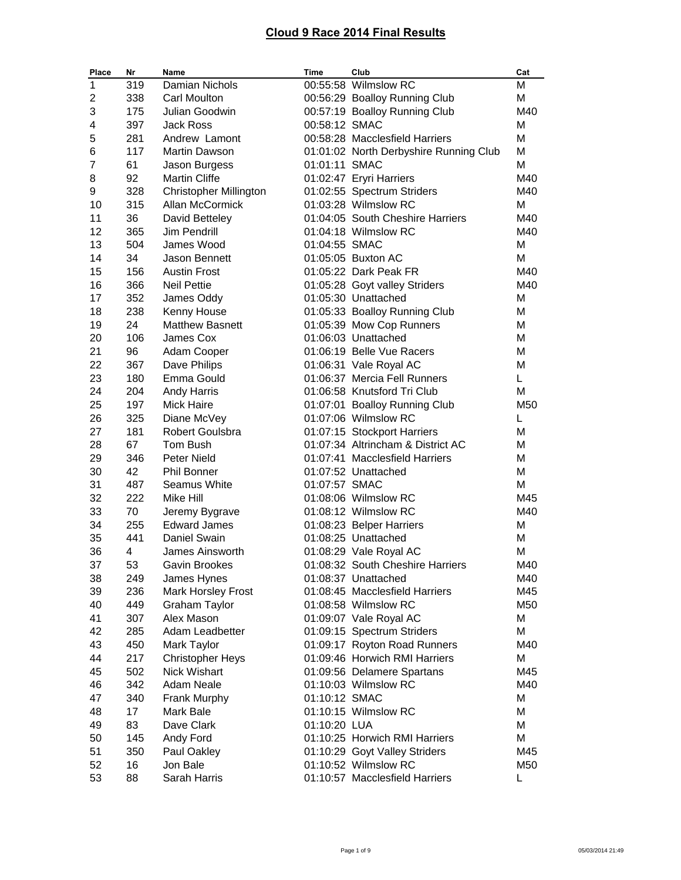| Place | Nr  | Name                          | Time          | Club                                   | Cat |
|-------|-----|-------------------------------|---------------|----------------------------------------|-----|
| 1     | 319 | Damian Nichols                |               | 00:55:58 Wilmslow RC                   | м   |
| 2     | 338 | <b>Carl Moulton</b>           |               | 00:56:29 Boalloy Running Club          | M   |
| 3     | 175 | Julian Goodwin                |               | 00:57:19 Boalloy Running Club          | M40 |
| 4     | 397 | Jack Ross                     | 00:58:12 SMAC |                                        | м   |
| 5     | 281 | Andrew Lamont                 |               | 00:58:28 Macclesfield Harriers         | М   |
| 6     | 117 | <b>Martin Dawson</b>          |               | 01:01:02 North Derbyshire Running Club | М   |
| 7     | 61  | Jason Burgess                 | 01:01:11 SMAC |                                        | М   |
| 8     | 92  | <b>Martin Cliffe</b>          |               | 01:02:47 Eryri Harriers                | M40 |
| 9     | 328 | <b>Christopher Millington</b> |               | 01:02:55 Spectrum Striders             | M40 |
| 10    | 315 | Allan McCormick               |               | 01:03:28 Wilmslow RC                   | м   |
| 11    | 36  | David Betteley                |               | 01:04:05 South Cheshire Harriers       | M40 |
| 12    | 365 | Jim Pendrill                  |               | 01:04:18 Wilmslow RC                   | M40 |
| 13    | 504 | James Wood                    | 01:04:55 SMAC |                                        | M   |
| 14    | 34  | Jason Bennett                 |               | 01:05:05 Buxton AC                     | M   |
| 15    | 156 | <b>Austin Frost</b>           |               | 01:05:22 Dark Peak FR                  | M40 |
| 16    | 366 | <b>Neil Pettie</b>            |               | 01:05:28 Goyt valley Striders          | M40 |
| 17    | 352 | James Oddy                    |               | 01:05:30 Unattached                    | м   |
| 18    | 238 | Kenny House                   |               | 01:05:33 Boalloy Running Club          | м   |
| 19    | 24  | <b>Matthew Basnett</b>        |               | 01:05:39 Mow Cop Runners               | м   |
| 20    | 106 | James Cox                     |               | 01:06:03 Unattached                    | м   |
| 21    | 96  | Adam Cooper                   |               | 01:06:19 Belle Vue Racers              | М   |
| 22    | 367 | Dave Philips                  |               | 01:06:31 Vale Royal AC                 | М   |
| 23    | 180 | Emma Gould                    |               | 01:06:37 Mercia Fell Runners           | L.  |
| 24    | 204 | <b>Andy Harris</b>            |               | 01:06:58 Knutsford Tri Club            | M   |
| 25    | 197 | <b>Mick Haire</b>             |               | 01:07:01 Boalloy Running Club          | M50 |
| 26    | 325 | Diane McVey                   |               | 01:07:06 Wilmslow RC                   | L   |
| 27    | 181 | Robert Goulsbra               |               | 01:07:15 Stockport Harriers            | М   |
| 28    | 67  | Tom Bush                      |               | 01:07:34 Altrincham & District AC      | м   |
| 29    | 346 | <b>Peter Nield</b>            |               | 01:07:41 Macclesfield Harriers         | м   |
| 30    | 42  | <b>Phil Bonner</b>            |               | 01:07:52 Unattached                    | M   |
| 31    | 487 | <b>Seamus White</b>           | 01:07:57 SMAC |                                        | M   |
| 32    | 222 | Mike Hill                     |               | 01:08:06 Wilmslow RC                   | M45 |
| 33    | 70  | Jeremy Bygrave                |               | 01:08:12 Wilmslow RC                   | M40 |
| 34    | 255 | <b>Edward James</b>           |               | 01:08:23 Belper Harriers               | M   |
| 35    | 441 | Daniel Swain                  |               | 01:08:25 Unattached                    | м   |
| 36    | 4   | James Ainsworth               |               | 01:08:29 Vale Royal AC                 | м   |
| 37    | 53  | Gavin Brookes                 |               | 01:08:32 South Cheshire Harriers       | M40 |
| 38    | 249 | James Hynes                   |               | 01:08:37 Unattached                    | M40 |
| 39    | 236 | Mark Horsley Frost            |               | 01:08:45 Macclesfield Harriers         | M45 |
| 40    | 449 | <b>Graham Taylor</b>          |               | 01:08:58 Wilmslow RC                   | M50 |
| 41    | 307 | Alex Mason                    |               | 01:09:07 Vale Royal AC                 | M   |
| 42    | 285 | Adam Leadbetter               |               | 01:09:15 Spectrum Striders             | М   |
| 43    | 450 | Mark Taylor                   |               | 01:09:17 Royton Road Runners           | M40 |
| 44    | 217 | <b>Christopher Heys</b>       |               | 01:09:46 Horwich RMI Harriers          | M   |
| 45    | 502 | Nick Wishart                  |               | 01:09:56 Delamere Spartans             | M45 |
| 46    | 342 | Adam Neale                    |               | 01:10:03 Wilmslow RC                   | M40 |
| 47    | 340 | Frank Murphy                  | 01:10:12 SMAC |                                        | M   |
| 48    | 17  | Mark Bale                     |               | 01:10:15 Wilmslow RC                   | M   |
| 49    | 83  | Dave Clark                    | 01:10:20 LUA  |                                        | м   |
| 50    | 145 | Andy Ford                     |               | 01:10:25 Horwich RMI Harriers          | М   |
| 51    | 350 | Paul Oakley                   |               | 01:10:29 Goyt Valley Striders          | M45 |
| 52    | 16  | Jon Bale                      |               | 01:10:52 Wilmslow RC                   | M50 |
| 53    | 88  | Sarah Harris                  |               | 01:10:57 Macclesfield Harriers         | L   |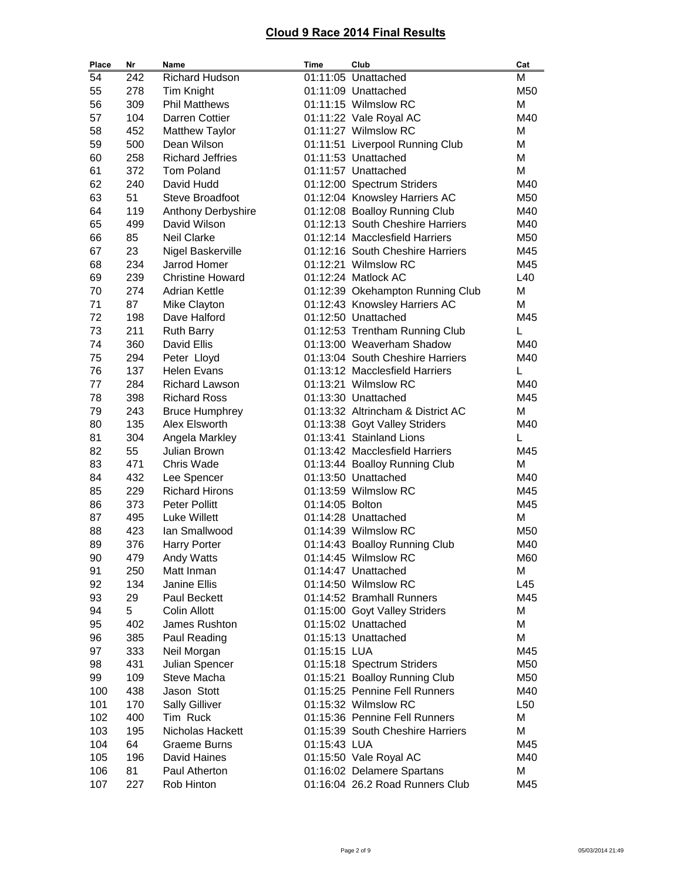| Place    | Nr         | Name                                        | Time            | Club                                                   | Cat        |
|----------|------------|---------------------------------------------|-----------------|--------------------------------------------------------|------------|
| 54       | 242        | Richard Hudson                              |                 | 01:11:05 Unattached                                    | M          |
| 55       | 278        | <b>Tim Knight</b>                           |                 | 01:11:09 Unattached                                    | M50        |
| 56       | 309        | <b>Phil Matthews</b>                        |                 | 01:11:15 Wilmslow RC                                   | M          |
| 57       | 104        | Darren Cottier                              |                 | 01:11:22 Vale Royal AC                                 | M40        |
| 58       | 452        | <b>Matthew Taylor</b>                       |                 | 01:11:27 Wilmslow RC                                   | M          |
| 59       | 500        | Dean Wilson                                 |                 | 01:11:51 Liverpool Running Club                        | М          |
| 60       | 258        | <b>Richard Jeffries</b>                     |                 | 01:11:53 Unattached                                    | M          |
| 61       | 372        | <b>Tom Poland</b>                           |                 | 01:11:57 Unattached                                    | М          |
| 62       | 240        | David Hudd                                  |                 | 01:12:00 Spectrum Striders                             | M40        |
| 63       | 51         | <b>Steve Broadfoot</b>                      |                 | 01:12:04 Knowsley Harriers AC                          | M50        |
| 64       | 119        | Anthony Derbyshire                          |                 | 01:12:08 Boalloy Running Club                          | M40        |
| 65       | 499        | David Wilson                                |                 | 01:12:13 South Cheshire Harriers                       | M40        |
| 66       | 85         | <b>Neil Clarke</b>                          |                 | 01:12:14 Macclesfield Harriers                         | M50        |
| 67       | 23         | Nigel Baskerville                           |                 | 01:12:16 South Cheshire Harriers                       | M45        |
| 68       | 234        | Jarrod Homer                                |                 | 01:12:21 Wilmslow RC                                   | M45        |
| 69       | 239        | <b>Christine Howard</b>                     |                 | 01:12:24 Matlock AC                                    | L40        |
| 70       | 274        | <b>Adrian Kettle</b>                        |                 | 01:12:39 Okehampton Running Club                       | М          |
| 71       | 87         | Mike Clayton                                |                 | 01:12:43 Knowsley Harriers AC                          | М          |
| 72       | 198        | Dave Halford                                |                 | 01:12:50 Unattached                                    | M45        |
| 73       | 211        | <b>Ruth Barry</b>                           |                 | 01:12:53 Trentham Running Club                         | L          |
| 74       | 360        | David Ellis                                 |                 | 01:13:00 Weaverham Shadow                              | M40<br>M40 |
| 75       | 294        | Peter Lloyd                                 |                 | 01:13:04 South Cheshire Harriers                       |            |
| 76<br>77 | 137<br>284 | <b>Helen Evans</b><br><b>Richard Lawson</b> |                 | 01:13:12 Macclesfield Harriers<br>01:13:21 Wilmslow RC | L<br>M40   |
| 78       | 398        | <b>Richard Ross</b>                         |                 | 01:13:30 Unattached                                    | M45        |
| 79       | 243        | <b>Bruce Humphrey</b>                       |                 | 01:13:32 Altrincham & District AC                      | M          |
| 80       | 135        | Alex Elsworth                               |                 | 01:13:38 Goyt Valley Striders                          | M40        |
| 81       | 304        | Angela Markley                              |                 | 01:13:41 Stainland Lions                               | L          |
| 82       | 55         | Julian Brown                                |                 | 01:13:42 Macclesfield Harriers                         | M45        |
| 83       | 471        | Chris Wade                                  |                 | 01:13:44 Boalloy Running Club                          | M          |
| 84       | 432        | Lee Spencer                                 |                 | 01:13:50 Unattached                                    | M40        |
| 85       | 229        | <b>Richard Hirons</b>                       |                 | 01:13:59 Wilmslow RC                                   | M45        |
| 86       | 373        | Peter Pollitt                               | 01:14:05 Bolton |                                                        | M45        |
| 87       | 495        | Luke Willett                                |                 | 01:14:28 Unattached                                    | M          |
| 88       | 423        | lan Smallwood                               |                 | 01:14:39 Wilmslow RC                                   | M50        |
| 89       | 376        | <b>Harry Porter</b>                         |                 | 01:14:43 Boalloy Running Club                          | M40        |
| 90       | 479        | Andy Watts                                  |                 | 01:14:45 Wilmslow RC                                   | M60        |
| 91       | 250        | Matt Inman                                  |                 | 01:14:47 Unattached                                    | М          |
| 92       | 134        | Janine Ellis                                |                 | 01:14:50 Wilmslow RC                                   | L45        |
| 93       | 29         | Paul Beckett                                |                 | 01:14:52 Bramhall Runners                              | M45        |
| 94       | 5          | Colin Allott                                |                 | 01:15:00 Goyt Valley Striders                          | M          |
| 95       | 402        | James Rushton                               |                 | 01:15:02 Unattached                                    | М          |
| 96       | 385        | Paul Reading                                |                 | 01:15:13 Unattached                                    | М          |
| 97       | 333        | Neil Morgan                                 | 01:15:15 LUA    |                                                        | M45        |
| 98       | 431        | Julian Spencer                              |                 | 01:15:18 Spectrum Striders                             | M50        |
| 99       | 109        | Steve Macha                                 |                 | 01:15:21 Boalloy Running Club                          | M50        |
| 100      | 438        | Jason Stott                                 |                 | 01:15:25 Pennine Fell Runners                          | M40        |
| 101      | 170        | <b>Sally Gilliver</b>                       |                 | 01:15:32 Wilmslow RC                                   | L50        |
| 102      | 400        | Tim Ruck                                    |                 | 01:15:36 Pennine Fell Runners                          | Μ          |
| 103      | 195        | Nicholas Hackett                            |                 | 01:15:39 South Cheshire Harriers                       | M          |
| 104      | 64         | <b>Graeme Burns</b>                         | 01:15:43 LUA    |                                                        | M45        |
| 105      | 196        | David Haines                                |                 | 01:15:50 Vale Royal AC                                 | M40        |
| 106      | 81         | Paul Atherton                               |                 | 01:16:02 Delamere Spartans                             | M          |
| 107      | 227        | Rob Hinton                                  |                 | 01:16:04 26.2 Road Runners Club                        | M45        |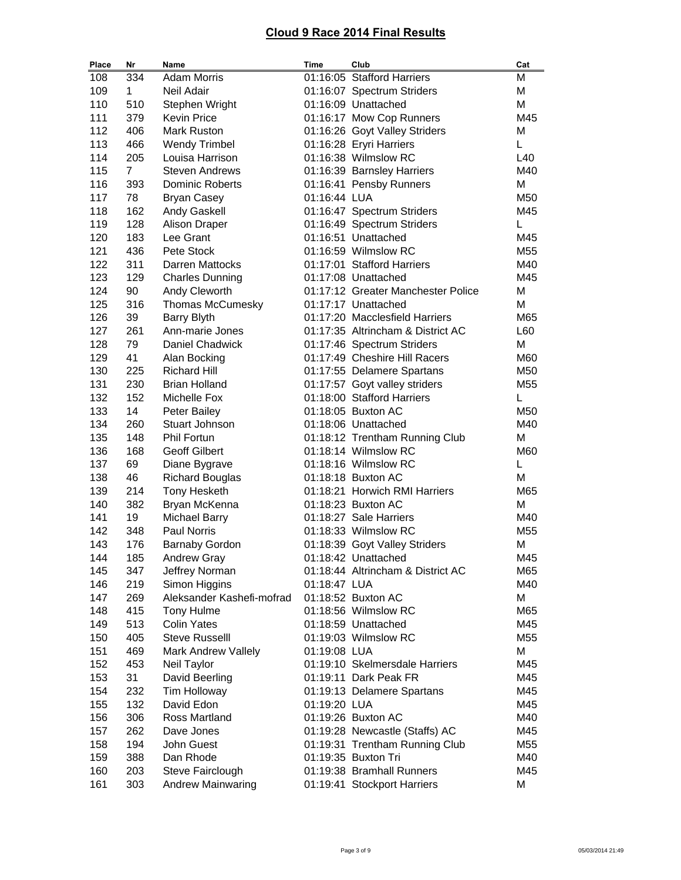| Place      | Nr             | Name                                  | <b>Time</b>  | Club                                                    | Cat             |
|------------|----------------|---------------------------------------|--------------|---------------------------------------------------------|-----------------|
| 108        | 334            | <b>Adam Morris</b>                    |              | 01:16:05 Stafford Harriers                              | М               |
| 109        | $\mathbf{1}$   | Neil Adair                            |              | 01:16:07 Spectrum Striders                              | M               |
| 110        | 510            | Stephen Wright                        |              | 01:16:09 Unattached                                     | M               |
| 111        | 379            | <b>Kevin Price</b>                    |              | 01:16:17 Mow Cop Runners                                | M45             |
| 112        | 406            | Mark Ruston                           |              | 01:16:26 Goyt Valley Striders                           | M               |
| 113        | 466            | <b>Wendy Trimbel</b>                  |              | 01:16:28 Eryri Harriers                                 | L.              |
| 114        | 205            | Louisa Harrison                       |              | 01:16:38 Wilmslow RC                                    | L40             |
| 115        | $\overline{7}$ | <b>Steven Andrews</b>                 |              | 01:16:39 Barnsley Harriers                              | M40             |
| 116        | 393            | Dominic Roberts                       |              | 01:16:41 Pensby Runners                                 | M               |
| 117        | 78             | <b>Bryan Casey</b>                    | 01:16:44 LUA |                                                         | M50             |
| 118        | 162            | Andy Gaskell                          |              | 01:16:47 Spectrum Striders                              | M45             |
| 119        | 128            | Alison Draper                         |              | 01:16:49 Spectrum Striders                              | L               |
| 120        | 183            | Lee Grant                             |              | 01:16:51 Unattached                                     | M45             |
| 121        | 436            | Pete Stock                            |              | 01:16:59 Wilmslow RC                                    | M <sub>55</sub> |
| 122        | 311            | Darren Mattocks                       |              | 01:17:01 Stafford Harriers                              | M40             |
| 123        | 129            | <b>Charles Dunning</b>                |              | 01:17:08 Unattached                                     | M45             |
| 124        | 90             | Andy Cleworth                         |              | 01:17:12 Greater Manchester Police                      | М               |
| 125        | 316            | Thomas McCumesky                      |              | 01:17:17 Unattached                                     | M               |
| 126        | 39             | <b>Barry Blyth</b>                    |              | 01:17:20 Macclesfield Harriers                          | M65             |
| 127        | 261            | Ann-marie Jones                       |              | 01:17:35 Altrincham & District AC                       | L60             |
| 128        | 79             | Daniel Chadwick                       |              | 01:17:46 Spectrum Striders                              | М               |
| 129        | 41             | Alan Bocking                          |              | 01:17:49 Cheshire Hill Racers                           | M60             |
| 130        | 225            | <b>Richard Hill</b>                   |              | 01:17:55 Delamere Spartans                              | M50             |
| 131        | 230            | <b>Brian Holland</b>                  |              | 01:17:57 Goyt valley striders                           | M <sub>55</sub> |
| 132        | 152            | Michelle Fox                          |              | 01:18:00 Stafford Harriers                              | L               |
| 133        | 14             | Peter Bailey                          |              | 01:18:05 Buxton AC                                      | M50             |
| 134        | 260            | Stuart Johnson                        |              | 01:18:06 Unattached                                     | M40             |
| 135        | 148            | <b>Phil Fortun</b>                    |              | 01:18:12 Trentham Running Club                          | М               |
| 136        | 168            | <b>Geoff Gilbert</b>                  |              | 01:18:14 Wilmslow RC                                    | M60             |
| 137        | 69             | Diane Bygrave                         |              | 01:18:16 Wilmslow RC                                    | L               |
| 138        | 46             | <b>Richard Bouglas</b>                |              | 01:18:18 Buxton AC                                      | M               |
| 139        | 214            | <b>Tony Hesketh</b>                   |              | 01:18:21 Horwich RMI Harriers                           | M65             |
| 140        | 382            | Bryan McKenna                         |              | 01:18:23 Buxton AC                                      | M               |
| 141        | 19             | <b>Michael Barry</b>                  |              | 01:18:27 Sale Harriers                                  | M40             |
| 142        | 348            | Paul Norris                           |              | 01:18:33 Wilmslow RC                                    | M <sub>55</sub> |
| 143        | 176            | <b>Barnaby Gordon</b>                 |              | 01:18:39 Goyt Valley Striders                           | М               |
| 144        | 185            | Andrew Gray                           |              | 01:18:42 Unattached                                     | M45             |
| 145        | 347            | Jeffrey Norman                        |              | 01:18:44 Altrincham & District AC                       | M65             |
| 146        | 219            | Simon Higgins                         | 01:18:47 LUA |                                                         | M40             |
| 147        | 269            | Aleksander Kashefi-mofrad             |              | 01:18:52 Buxton AC                                      | M               |
| 148        | 415            | Tony Hulme                            |              | 01:18:56 Wilmslow RC                                    | M65             |
| 149        | 513            | <b>Colin Yates</b>                    |              | 01:18:59 Unattached                                     | M45             |
| 150        | 405            | <b>Steve Russelll</b>                 |              | 01:19:03 Wilmslow RC                                    | M <sub>55</sub> |
| 151        | 469            | Mark Andrew Vallely                   | 01:19:08 LUA |                                                         | М               |
|            |                |                                       |              |                                                         |                 |
| 152<br>153 | 453<br>31      | Neil Taylor                           |              | 01:19:10 Skelmersdale Harriers<br>01:19:11 Dark Peak FR | M45<br>M45      |
| 154        | 232            | David Beerling<br><b>Tim Holloway</b> |              |                                                         | M45             |
|            |                |                                       |              | 01:19:13 Delamere Spartans                              |                 |
| 155        | 132            | David Edon                            | 01:19:20 LUA |                                                         | M45             |
| 156        | 306            | Ross Martland                         |              | 01:19:26 Buxton AC                                      | M40             |
| 157        | 262            | Dave Jones                            |              | 01:19:28 Newcastle (Staffs) AC                          | M45             |
| 158        | 194            | John Guest                            |              | 01:19:31 Trentham Running Club                          | M55             |
| 159        | 388            | Dan Rhode                             |              | 01:19:35 Buxton Tri                                     | M40             |
| 160        | 203            | Steve Fairclough                      |              | 01:19:38 Bramhall Runners                               | M45             |
| 161        | 303            | Andrew Mainwaring                     |              | 01:19:41 Stockport Harriers                             | М               |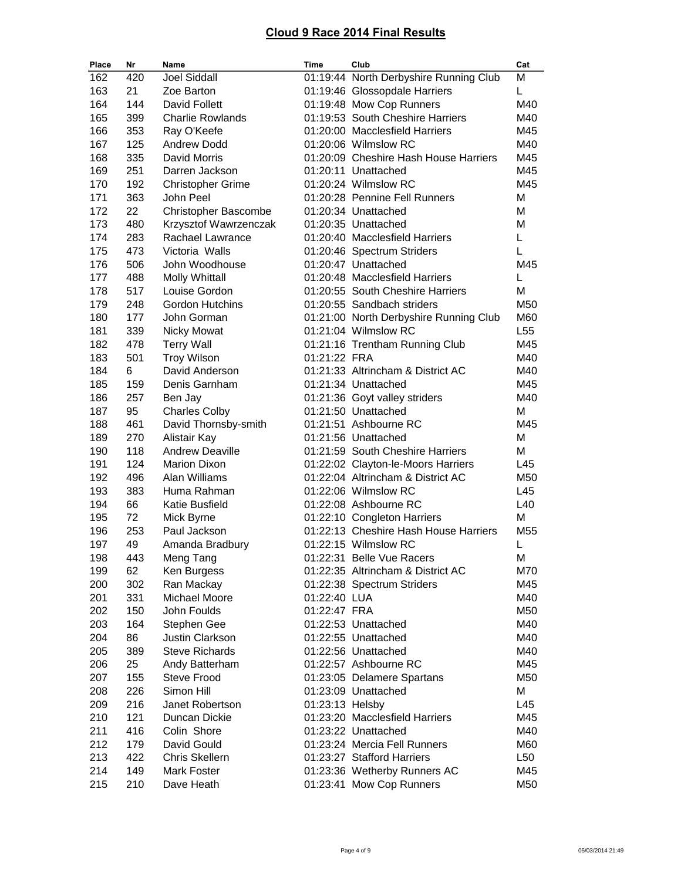| Place | Nr  | Name                        | Time            | Club                                   | Cat             |
|-------|-----|-----------------------------|-----------------|----------------------------------------|-----------------|
| 162   | 420 | <b>Joel Siddall</b>         |                 | 01:19:44 North Derbyshire Running Club | M               |
| 163   | 21  | Zoe Barton                  |                 | 01:19:46 Glossopdale Harriers          | Г               |
| 164   | 144 | David Follett               |                 | 01:19:48 Mow Cop Runners               | M40             |
| 165   | 399 | <b>Charlie Rowlands</b>     |                 | 01:19:53 South Cheshire Harriers       | M40             |
| 166   | 353 | Ray O'Keefe                 |                 | 01:20:00 Macclesfield Harriers         | M45             |
| 167   | 125 | <b>Andrew Dodd</b>          |                 | 01:20:06 Wilmslow RC                   | M40             |
| 168   | 335 | David Morris                |                 | 01:20:09 Cheshire Hash House Harriers  | M45             |
| 169   | 251 | Darren Jackson              |                 | 01:20:11 Unattached                    | M45             |
| 170   | 192 | <b>Christopher Grime</b>    |                 | 01:20:24 Wilmslow RC                   | M45             |
| 171   | 363 | John Peel                   |                 | 01:20:28 Pennine Fell Runners          | М               |
| 172   | 22  | <b>Christopher Bascombe</b> |                 | 01:20:34 Unattached                    | М               |
| 173   | 480 | Krzysztof Wawrzenczak       |                 | 01:20:35 Unattached                    | Μ               |
| 174   | 283 | Rachael Lawrance            |                 | 01:20:40 Macclesfield Harriers         | L               |
| 175   | 473 | Victoria Walls              |                 | 01:20:46 Spectrum Striders             | L               |
| 176   | 506 | John Woodhouse              |                 | 01:20:47 Unattached                    | M45             |
| 177   | 488 | <b>Molly Whittall</b>       |                 | 01:20:48 Macclesfield Harriers         | L               |
| 178   | 517 | Louise Gordon               |                 | 01:20:55 South Cheshire Harriers       | M               |
| 179   | 248 | <b>Gordon Hutchins</b>      |                 | 01:20:55 Sandbach striders             | M50             |
| 180   | 177 | John Gorman                 |                 | 01:21:00 North Derbyshire Running Club | M60             |
| 181   | 339 | <b>Nicky Mowat</b>          |                 | 01:21:04 Wilmslow RC                   | L <sub>55</sub> |
| 182   | 478 | <b>Terry Wall</b>           |                 | 01:21:16 Trentham Running Club         | M45             |
| 183   | 501 | <b>Troy Wilson</b>          | 01:21:22 FRA    |                                        | M40             |
| 184   | 6   | David Anderson              |                 | 01:21:33 Altrincham & District AC      | M40             |
| 185   | 159 | Denis Garnham               |                 | 01:21:34 Unattached                    | M45             |
| 186   | 257 | Ben Jay                     |                 | 01:21:36 Goyt valley striders          | M40             |
| 187   | 95  | <b>Charles Colby</b>        |                 | 01:21:50 Unattached                    | М               |
| 188   | 461 | David Thornsby-smith        |                 | 01:21:51 Ashbourne RC                  | M45             |
| 189   | 270 | Alistair Kay                |                 | 01:21:56 Unattached                    | М               |
| 190   | 118 | <b>Andrew Deaville</b>      |                 | 01:21:59 South Cheshire Harriers       | М               |
| 191   | 124 | <b>Marion Dixon</b>         |                 | 01:22:02 Clayton-le-Moors Harriers     | L45             |
| 192   | 496 | Alan Williams               |                 | 01:22:04 Altrincham & District AC      | M50             |
| 193   | 383 | Huma Rahman                 |                 | 01:22:06 Wilmslow RC                   | L45             |
| 194   | 66  | <b>Katie Busfield</b>       |                 | 01:22:08 Ashbourne RC                  | L40             |
| 195   | 72  | Mick Byrne                  |                 | 01:22:10 Congleton Harriers            | M               |
| 196   | 253 | Paul Jackson                |                 | 01:22:13 Cheshire Hash House Harriers  | M55             |
| 197   | 49  | Amanda Bradbury             |                 | 01:22:15 Wilmslow RC                   | L               |
| 198   | 443 | Meng Tang                   |                 | 01:22:31 Belle Vue Racers              | М               |
| 199   | 62  | Ken Burgess                 |                 | 01:22:35 Altrincham & District AC      | M70             |
| 200   | 302 | Ran Mackay                  |                 | 01:22:38 Spectrum Striders             | M45             |
| 201   | 331 | Michael Moore               | 01:22:40 LUA    |                                        | M40             |
| 202   | 150 | John Foulds                 | 01:22:47 FRA    |                                        | M50             |
| 203   | 164 | Stephen Gee                 |                 | 01:22:53 Unattached                    | M40             |
| 204   | 86  | <b>Justin Clarkson</b>      |                 | 01:22:55 Unattached                    | M40             |
| 205   | 389 | <b>Steve Richards</b>       |                 | 01:22:56 Unattached                    | M40             |
| 206   | 25  | Andy Batterham              |                 | 01:22:57 Ashbourne RC                  | M45             |
| 207   | 155 | Steve Frood                 |                 | 01:23:05 Delamere Spartans             | M50             |
| 208   | 226 | Simon Hill                  |                 | 01:23:09 Unattached                    | М               |
| 209   | 216 | Janet Robertson             | 01:23:13 Helsby |                                        | L45             |
| 210   | 121 | Duncan Dickie               |                 | 01:23:20 Macclesfield Harriers         | M45             |
| 211   | 416 | Colin Shore                 |                 | 01:23:22 Unattached                    | M40             |
| 212   | 179 | David Gould                 |                 | 01:23:24 Mercia Fell Runners           | M60             |
| 213   | 422 | Chris Skellern              |                 | 01:23:27 Stafford Harriers             | L50             |
| 214   | 149 | <b>Mark Foster</b>          |                 | 01:23:36 Wetherby Runners AC           | M45             |
| 215   | 210 | Dave Heath                  |                 | 01:23:41 Mow Cop Runners               | M50             |
|       |     |                             |                 |                                        |                 |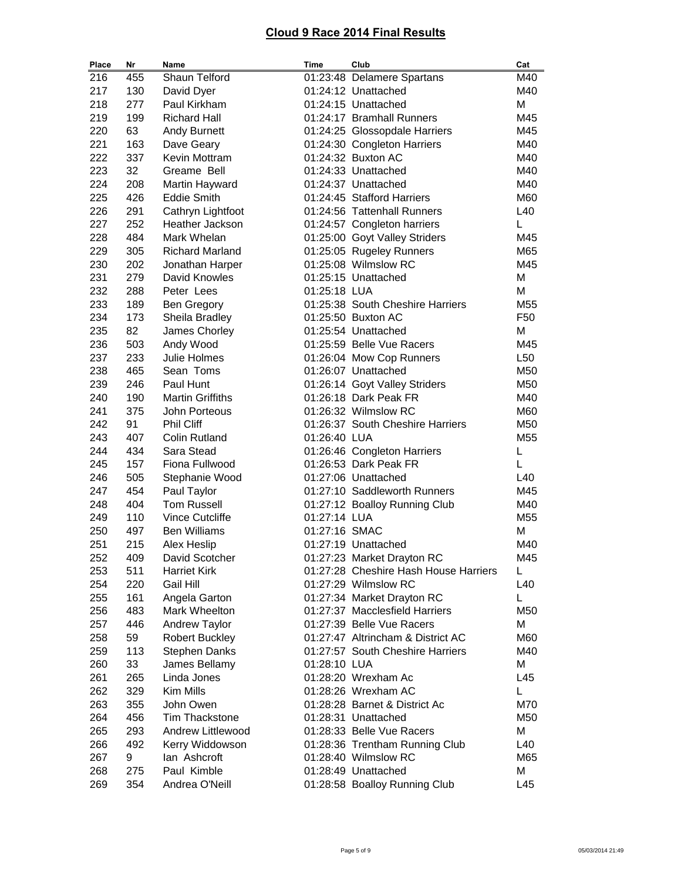| Place      | Nr         | Name                            | Time          | Club                                                 | Cat             |
|------------|------------|---------------------------------|---------------|------------------------------------------------------|-----------------|
| 216        | 455        | Shaun Telford                   |               | 01:23:48 Delamere Spartans                           | M40             |
| 217        | 130        | David Dyer                      |               | 01:24:12 Unattached                                  | M40             |
| 218        | 277        | Paul Kirkham                    |               | 01:24:15 Unattached                                  | M               |
| 219        | 199        | <b>Richard Hall</b>             |               | 01:24:17 Bramhall Runners                            | M45             |
| 220        | 63         | Andy Burnett                    |               | 01:24:25 Glossopdale Harriers                        | M45             |
| 221        | 163        | Dave Geary                      |               | 01:24:30 Congleton Harriers                          | M40             |
| 222        | 337        | Kevin Mottram                   |               | 01:24:32 Buxton AC                                   | M40             |
| 223        | 32         | Greame Bell                     |               | 01:24:33 Unattached                                  | M40             |
| 224        | 208        | Martin Hayward                  |               | 01:24:37 Unattached                                  | M40             |
| 225        | 426        | <b>Eddie Smith</b>              |               | 01:24:45 Stafford Harriers                           | M60             |
| 226        | 291        | Cathryn Lightfoot               |               | 01:24:56 Tattenhall Runners                          | L40             |
| 227        | 252        | Heather Jackson                 |               | 01:24:57 Congleton harriers                          | L               |
| 228        | 484        | Mark Whelan                     |               | 01:25:00 Goyt Valley Striders                        | M45             |
| 229        | 305        | <b>Richard Marland</b>          |               | 01:25:05 Rugeley Runners                             | M65             |
| 230        | 202        | Jonathan Harper                 |               | 01:25:08 Wilmslow RC                                 | M45             |
| 231        | 279        | David Knowles                   |               | 01:25:15 Unattached                                  | M               |
| 232        | 288        | Peter Lees                      | 01:25:18 LUA  |                                                      | M               |
| 233        | 189        | <b>Ben Gregory</b>              |               | 01:25:38 South Cheshire Harriers                     | M55             |
| 234        | 173        | Sheila Bradley                  |               | 01:25:50 Buxton AC                                   | F <sub>50</sub> |
| 235        | 82         | James Chorley                   |               | 01:25:54 Unattached                                  | M               |
| 236        | 503        | Andy Wood                       |               | 01:25:59 Belle Vue Racers                            | M45             |
| 237        | 233        | Julie Holmes                    |               | 01:26:04 Mow Cop Runners                             | L <sub>50</sub> |
| 238        | 465        | Sean Toms                       |               | 01:26:07 Unattached                                  | M50             |
| 239        | 246        | Paul Hunt                       |               | 01:26:14 Goyt Valley Striders                        | M50             |
| 240        | 190        | <b>Martin Griffiths</b>         |               | 01:26:18 Dark Peak FR                                | M40             |
| 241        | 375        | John Porteous                   |               | 01:26:32 Wilmslow RC                                 | M60             |
| 242        | 91         | <b>Phil Cliff</b>               |               | 01:26:37 South Cheshire Harriers                     | M50             |
| 243        | 407        | <b>Colin Rutland</b>            | 01:26:40 LUA  |                                                      | M55             |
| 244        | 434        | Sara Stead                      |               | 01:26:46 Congleton Harriers                          | L               |
| 245        | 157        | Fiona Fullwood                  |               | 01:26:53 Dark Peak FR                                | L               |
| 246        | 505        | Stephanie Wood                  |               | 01:27:06 Unattached                                  | L40             |
| 247        | 454        | Paul Taylor                     |               | 01:27:10 Saddleworth Runners                         | M45             |
| 248        | 404        | <b>Tom Russell</b>              |               | 01:27:12 Boalloy Running Club                        | M40             |
| 249        | 110        | Vince Cutcliffe                 | 01:27:14 LUA  |                                                      | M55             |
| 250        | 497        | <b>Ben Williams</b>             | 01:27:16 SMAC |                                                      | M               |
| 251        | 215        | <b>Alex Heslip</b>              |               | 01:27:19 Unattached                                  | M40             |
| 252        | 409        | David Scotcher                  |               | 01:27:23 Market Drayton RC                           | M45             |
| 253        | 511        | <b>Harriet Kirk</b>             |               | 01:27:28 Cheshire Hash House Harriers                | L               |
| 254        | 220        | Gail Hill                       |               | 01:27:29 Wilmslow RC                                 | L40             |
| 255        | 161        | Angela Garton                   |               | 01:27:34 Market Drayton RC                           | L               |
| 256        | 483        | Mark Wheelton                   |               | 01:27:37 Macclesfield Harriers                       | M50             |
| 257        | 446        | Andrew Taylor                   |               | 01:27:39 Belle Vue Racers                            | M               |
| 258        | 59         | <b>Robert Buckley</b>           |               | 01:27:47 Altrincham & District AC                    | M60             |
| 259        | 113        | <b>Stephen Danks</b>            |               | 01:27:57 South Cheshire Harriers                     | M40             |
| 260        | 33         | James Bellamy                   | 01:28:10 LUA  |                                                      | М               |
| 261        | 265        | Linda Jones                     |               | 01:28:20 Wrexham Ac                                  | L45             |
| 262        | 329        | Kim Mills                       |               | 01:28:26 Wrexham AC                                  | Г               |
|            |            |                                 |               |                                                      |                 |
| 263<br>264 | 355<br>456 | John Owen<br>Tim Thackstone     |               | 01:28:28 Barnet & District Ac<br>01:28:31 Unattached | M70<br>M50      |
|            |            | Andrew Littlewood               |               | 01:28:33 Belle Vue Racers                            |                 |
| 265        | 293<br>492 |                                 |               |                                                      | М               |
| 266        |            | Kerry Widdowson<br>lan Ashcroft |               | 01:28:36 Trentham Running Club                       | L40             |
| 267        | 9          | Paul Kimble                     |               | 01:28:40 Wilmslow RC                                 | M65             |
| 268        | 275        |                                 |               | 01:28:49 Unattached                                  | М               |
| 269        | 354        | Andrea O'Neill                  |               | 01:28:58 Boalloy Running Club                        | L45             |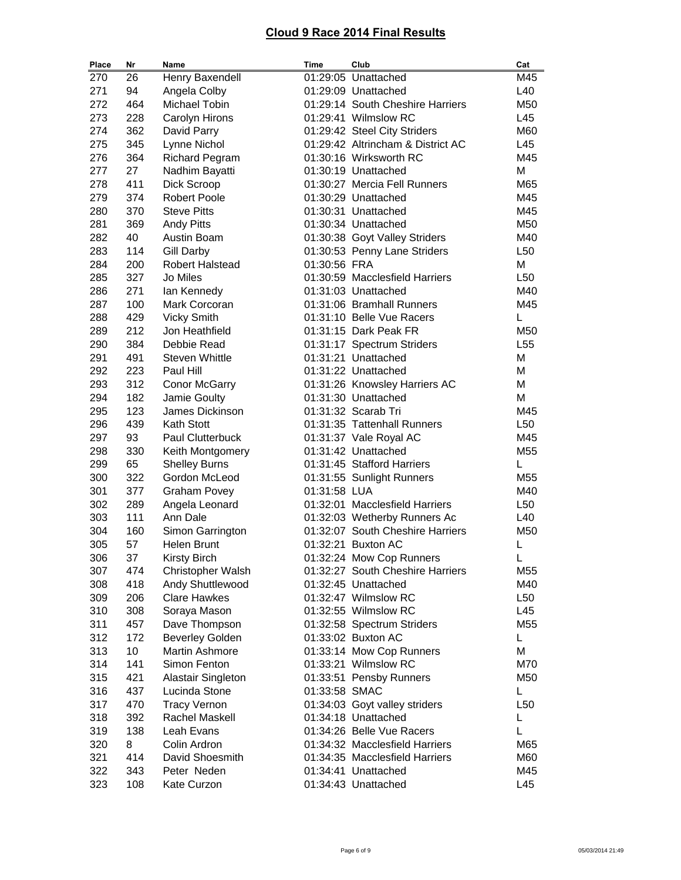| Place | Nr  | Name                   | Time          | Club                              | Cat             |
|-------|-----|------------------------|---------------|-----------------------------------|-----------------|
| 270   | 26  | Henry Baxendell        |               | 01:29:05 Unattached               | M45             |
| 271   | 94  | Angela Colby           |               | 01:29:09 Unattached               | L40             |
| 272   | 464 | Michael Tobin          |               | 01:29:14 South Cheshire Harriers  | M50             |
| 273   | 228 | Carolyn Hirons         |               | 01:29:41 Wilmslow RC              | L45             |
| 274   | 362 | David Parry            |               | 01:29:42 Steel City Striders      | M60             |
| 275   | 345 | Lynne Nichol           |               | 01:29:42 Altrincham & District AC | L45             |
| 276   | 364 | <b>Richard Pegram</b>  |               | 01:30:16 Wirksworth RC            | M45             |
| 277   | 27  | Nadhim Bayatti         |               | 01:30:19 Unattached               | M               |
| 278   | 411 | Dick Scroop            |               | 01:30:27 Mercia Fell Runners      | M65             |
| 279   | 374 | <b>Robert Poole</b>    |               | 01:30:29 Unattached               | M45             |
| 280   | 370 | <b>Steve Pitts</b>     |               | 01:30:31 Unattached               | M45             |
| 281   | 369 | <b>Andy Pitts</b>      |               | 01:30:34 Unattached               | M50             |
| 282   | 40  | Austin Boam            |               | 01:30:38 Goyt Valley Striders     | M40             |
| 283   | 114 | <b>Gill Darby</b>      |               | 01:30:53 Penny Lane Striders      | L50             |
| 284   | 200 | Robert Halstead        | 01:30:56 FRA  |                                   | M               |
| 285   | 327 | Jo Miles               |               | 01:30:59 Macclesfield Harriers    | L <sub>50</sub> |
| 286   | 271 | lan Kennedy            |               | 01:31:03 Unattached               | M40             |
| 287   | 100 | Mark Corcoran          |               | 01:31:06 Bramhall Runners         | M45             |
| 288   | 429 | <b>Vicky Smith</b>     |               | 01:31:10 Belle Vue Racers         | L               |
| 289   | 212 | Jon Heathfield         |               | 01:31:15 Dark Peak FR             | M50             |
| 290   | 384 | Debbie Read            |               | 01:31:17 Spectrum Striders        | L <sub>55</sub> |
| 291   | 491 | <b>Steven Whittle</b>  |               | 01:31:21 Unattached               | M               |
| 292   | 223 | Paul Hill              |               | 01:31:22 Unattached               | M               |
| 293   | 312 | <b>Conor McGarry</b>   |               | 01:31:26 Knowsley Harriers AC     | M               |
| 294   | 182 | Jamie Goulty           |               | 01:31:30 Unattached               | M               |
| 295   | 123 | James Dickinson        |               | 01:31:32 Scarab Tri               | M45             |
| 296   | 439 | Kath Stott             |               | 01:31:35 Tattenhall Runners       | L50             |
| 297   | 93  | Paul Clutterbuck       |               | 01:31:37 Vale Royal AC            | M45             |
| 298   | 330 | Keith Montgomery       |               | 01:31:42 Unattached               | M55             |
| 299   | 65  | <b>Shelley Burns</b>   |               | 01:31:45 Stafford Harriers        | L               |
| 300   | 322 | Gordon McLeod          |               | 01:31:55 Sunlight Runners         | M55             |
| 301   | 377 | <b>Graham Povey</b>    | 01:31:58 LUA  |                                   | M40             |
| 302   | 289 | Angela Leonard         |               | 01:32:01 Macclesfield Harriers    | L50             |
| 303   | 111 | Ann Dale               |               | 01:32:03 Wetherby Runners Ac      | L40             |
| 304   | 160 | Simon Garrington       |               | 01:32:07 South Cheshire Harriers  | M50             |
| 305   | 57  | <b>Helen Brunt</b>     |               | 01:32:21 Buxton AC                | L               |
| 306   | 37  | <b>Kirsty Birch</b>    |               | 01:32:24 Mow Cop Runners          | L               |
| 307   | 474 | Christopher Walsh      |               | 01:32:27 South Cheshire Harriers  | M55             |
| 308   | 418 | Andy Shuttlewood       |               | 01:32:45 Unattached               | M40             |
| 309   | 206 | <b>Clare Hawkes</b>    |               | 01:32:47 Wilmslow RC              | L50             |
| 310   | 308 | Soraya Mason           |               | 01:32:55 Wilmslow RC              | L45             |
| 311   | 457 | Dave Thompson          |               | 01:32:58 Spectrum Striders        | M55             |
| 312   | 172 | <b>Beverley Golden</b> |               | 01:33:02 Buxton AC                | L               |
| 313   | 10  | <b>Martin Ashmore</b>  |               | 01:33:14 Mow Cop Runners          | M               |
| 314   | 141 | Simon Fenton           |               | 01:33:21 Wilmslow RC              | M70             |
| 315   | 421 | Alastair Singleton     |               | 01:33:51 Pensby Runners           | M50             |
| 316   | 437 | Lucinda Stone          | 01:33:58 SMAC |                                   | L               |
| 317   | 470 | <b>Tracy Vernon</b>    |               | 01:34:03 Goyt valley striders     | L <sub>50</sub> |
| 318   | 392 | Rachel Maskell         |               | 01:34:18 Unattached               | L               |
| 319   | 138 | Leah Evans             |               | 01:34:26 Belle Vue Racers         | L               |
| 320   | 8   | Colin Ardron           |               | 01:34:32 Macclesfield Harriers    | M65             |
| 321   | 414 | David Shoesmith        |               | 01:34:35 Macclesfield Harriers    | M60             |
| 322   | 343 | Peter Neden            |               | 01:34:41 Unattached               | M45             |
| 323   | 108 | Kate Curzon            |               | 01:34:43 Unattached               | L45             |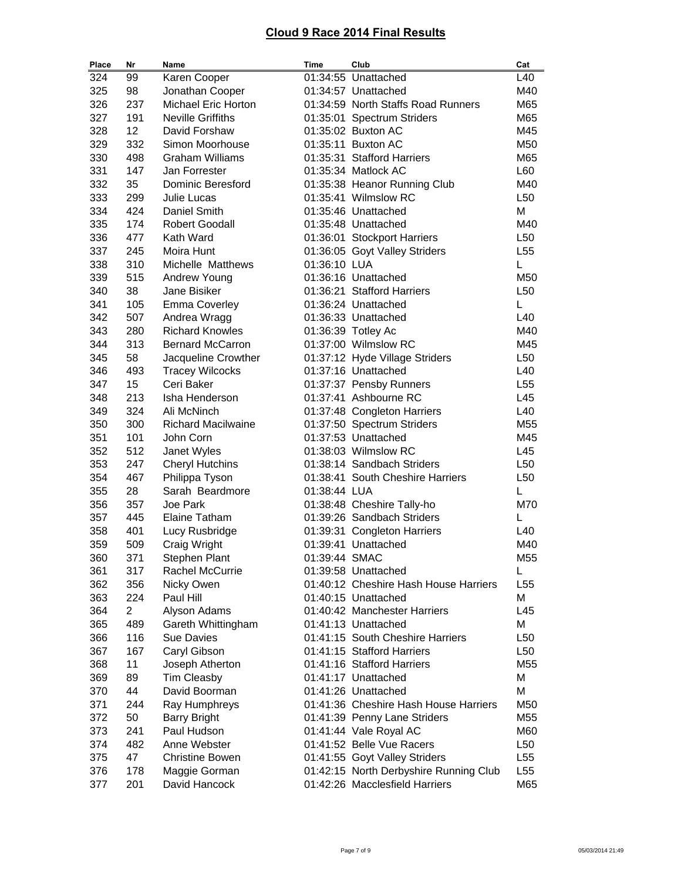| Place | Nr             | Name                       | Time          | Club                                   | Cat             |
|-------|----------------|----------------------------|---------------|----------------------------------------|-----------------|
| 324   | 99             | Karen Cooper               |               | 01:34:55 Unattached                    | L40             |
| 325   | 98             | Jonathan Cooper            |               | 01:34:57 Unattached                    | M40             |
| 326   | 237            | <b>Michael Eric Horton</b> |               | 01:34:59 North Staffs Road Runners     | M65             |
| 327   | 191            | <b>Neville Griffiths</b>   |               | 01:35:01 Spectrum Striders             | M65             |
| 328   | 12             | David Forshaw              |               | 01:35:02 Buxton AC                     | M45             |
| 329   | 332            | Simon Moorhouse            |               | 01:35:11 Buxton AC                     | M50             |
| 330   | 498            | <b>Graham Williams</b>     |               | 01:35:31 Stafford Harriers             | M65             |
| 331   | 147            | Jan Forrester              |               | 01:35:34 Matlock AC                    | L60             |
| 332   | 35             | <b>Dominic Beresford</b>   |               | 01:35:38 Heanor Running Club           | M40             |
| 333   | 299            | Julie Lucas                |               | 01:35:41 Wilmslow RC                   | L <sub>50</sub> |
| 334   | 424            | Daniel Smith               |               | 01:35:46 Unattached                    | М               |
| 335   | 174            | <b>Robert Goodall</b>      |               | 01:35:48 Unattached                    | M40             |
| 336   | 477            | Kath Ward                  |               | 01:36:01 Stockport Harriers            | L50             |
| 337   | 245            | Moira Hunt                 |               | 01:36:05 Goyt Valley Striders          | L <sub>55</sub> |
| 338   | 310            | Michelle Matthews          | 01:36:10 LUA  |                                        | L               |
| 339   | 515            | Andrew Young               |               | 01:36:16 Unattached                    | M50             |
| 340   | 38             | Jane Bisiker               |               | 01:36:21 Stafford Harriers             | L <sub>50</sub> |
| 341   | 105            | <b>Emma Coverley</b>       |               | 01:36:24 Unattached                    | L               |
| 342   | 507            | Andrea Wragg               |               | 01:36:33 Unattached                    | L40             |
| 343   | 280            | <b>Richard Knowles</b>     |               | 01:36:39 Totley Ac                     | M40             |
| 344   | 313            | <b>Bernard McCarron</b>    |               | 01:37:00 Wilmslow RC                   | M45             |
| 345   | 58             | Jacqueline Crowther        |               | 01:37:12 Hyde Village Striders         | L <sub>50</sub> |
| 346   | 493            | <b>Tracey Wilcocks</b>     |               | 01:37:16 Unattached                    | L40             |
| 347   | 15             | Ceri Baker                 |               | 01:37:37 Pensby Runners                | L <sub>55</sub> |
| 348   | 213            | Isha Henderson             |               | 01:37:41 Ashbourne RC                  | L45             |
| 349   | 324            | Ali McNinch                |               | 01:37:48 Congleton Harriers            | L40             |
| 350   | 300            | <b>Richard Macilwaine</b>  |               | 01:37:50 Spectrum Striders             | M <sub>55</sub> |
| 351   | 101            | John Corn                  |               | 01:37:53 Unattached                    | M45             |
| 352   | 512            | Janet Wyles                |               | 01:38:03 Wilmslow RC                   | L45             |
| 353   | 247            | <b>Cheryl Hutchins</b>     |               | 01:38:14 Sandbach Striders             | L <sub>50</sub> |
| 354   | 467            | Philippa Tyson             |               | 01:38:41 South Cheshire Harriers       | L <sub>50</sub> |
| 355   | 28             | Sarah Beardmore            | 01:38:44 LUA  |                                        | L               |
| 356   | 357            | Joe Park                   |               | 01:38:48 Cheshire Tally-ho             | M70             |
| 357   | 445            | <b>Elaine Tatham</b>       |               | 01:39:26 Sandbach Striders             | L               |
| 358   | 401            | Lucy Rusbridge             |               | 01:39:31 Congleton Harriers            | L40             |
| 359   | 509            | Craig Wright               |               | 01:39:41 Unattached                    | M40             |
| 360   | 371            | Stephen Plant              | 01:39:44 SMAC |                                        | M55             |
| 361   | 317            | Rachel McCurrie            |               | 01:39:58 Unattached                    | L               |
| 362   | 356            | Nicky Owen                 |               | 01:40:12 Cheshire Hash House Harriers  | L <sub>55</sub> |
| 363   | 224            | Paul Hill                  |               | 01:40:15 Unattached                    | M               |
| 364   | $\overline{2}$ | Alyson Adams               |               | 01:40:42 Manchester Harriers           | L45             |
| 365   | 489            | Gareth Whittingham         |               | 01:41:13 Unattached                    | М               |
| 366   | 116            | <b>Sue Davies</b>          |               | 01:41:15 South Cheshire Harriers       | L <sub>50</sub> |
| 367   | 167            | Caryl Gibson               |               | 01:41:15 Stafford Harriers             | L50             |
| 368   | 11             | Joseph Atherton            |               | 01:41:16 Stafford Harriers             | M55             |
| 369   | 89             | <b>Tim Cleasby</b>         |               | 01:41:17 Unattached                    | М               |
| 370   | 44             | David Boorman              |               | 01:41:26 Unattached                    | М               |
| 371   | 244            | Ray Humphreys              |               | 01:41:36 Cheshire Hash House Harriers  | M50             |
| 372   | 50             | <b>Barry Bright</b>        |               | 01:41:39 Penny Lane Striders           | M55             |
| 373   | 241            | Paul Hudson                |               | 01:41:44 Vale Royal AC                 | M60             |
| 374   | 482            | Anne Webster               |               | 01:41:52 Belle Vue Racers              | L50             |
| 375   | 47             | <b>Christine Bowen</b>     |               | 01:41:55 Goyt Valley Striders          | L <sub>55</sub> |
| 376   | 178            | Maggie Gorman              |               | 01:42:15 North Derbyshire Running Club | L <sub>55</sub> |
| 377   | 201            | David Hancock              |               | 01:42:26 Macclesfield Harriers         | M65             |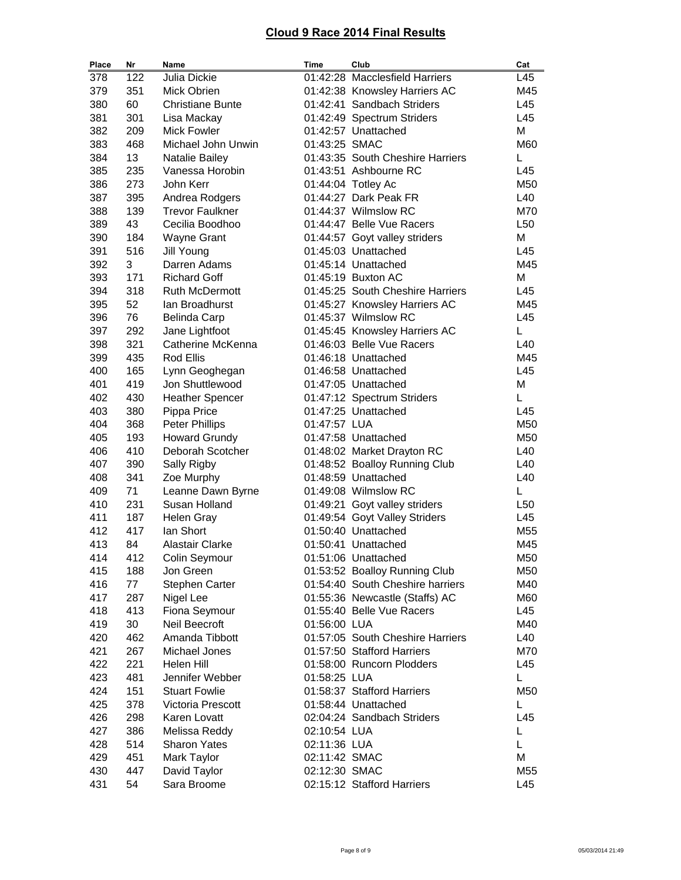| Place | Nr  | Name                    | Time          | Club                             | Cat             |
|-------|-----|-------------------------|---------------|----------------------------------|-----------------|
| 378   | 122 | Julia Dickie            |               | 01:42:28 Macclesfield Harriers   | L45             |
| 379   | 351 | Mick Obrien             |               | 01:42:38 Knowsley Harriers AC    | M45             |
| 380   | 60  | <b>Christiane Bunte</b> |               | 01:42:41 Sandbach Striders       | L45             |
| 381   | 301 | Lisa Mackay             |               | 01:42:49 Spectrum Striders       | L45             |
| 382   | 209 | <b>Mick Fowler</b>      |               | 01:42:57 Unattached              | M               |
| 383   | 468 | Michael John Unwin      | 01:43:25 SMAC |                                  | M60             |
| 384   | 13  | Natalie Bailey          |               | 01:43:35 South Cheshire Harriers | L               |
| 385   | 235 | Vanessa Horobin         |               | 01:43:51 Ashbourne RC            | L45             |
| 386   | 273 | John Kerr               |               | 01:44:04 Totley Ac               | M50             |
| 387   | 395 | Andrea Rodgers          |               | 01:44:27 Dark Peak FR            | L40             |
| 388   | 139 | <b>Trevor Faulkner</b>  |               | 01:44:37 Wilmslow RC             | M70             |
| 389   | 43  | Cecilia Boodhoo         |               | 01:44:47 Belle Vue Racers        | L <sub>50</sub> |
| 390   | 184 | <b>Wayne Grant</b>      |               | 01:44:57 Goyt valley striders    | M               |
| 391   | 516 | Jill Young              |               | 01:45:03 Unattached              | L45             |
| 392   | 3   | Darren Adams            |               | 01:45:14 Unattached              | M45             |
| 393   | 171 | <b>Richard Goff</b>     |               | 01:45:19 Buxton AC               | M               |
| 394   | 318 | <b>Ruth McDermott</b>   |               | 01:45:25 South Cheshire Harriers | L45             |
| 395   | 52  | lan Broadhurst          |               | 01:45:27 Knowsley Harriers AC    | M45             |
| 396   | 76  | <b>Belinda Carp</b>     |               | 01:45:37 Wilmslow RC             | L45             |
| 397   | 292 | Jane Lightfoot          |               | 01:45:45 Knowsley Harriers AC    | L               |
| 398   | 321 | Catherine McKenna       |               | 01:46:03 Belle Vue Racers        | L40             |
| 399   | 435 | <b>Rod Ellis</b>        |               | 01:46:18 Unattached              | M45             |
| 400   | 165 | Lynn Geoghegan          |               | 01:46:58 Unattached              | L45             |
| 401   | 419 | Jon Shuttlewood         |               | 01:47:05 Unattached              | M               |
| 402   | 430 | <b>Heather Spencer</b>  |               | 01:47:12 Spectrum Striders       | Г               |
| 403   | 380 | Pippa Price             |               | 01:47:25 Unattached              | L45             |
| 404   | 368 | <b>Peter Phillips</b>   | 01:47:57 LUA  |                                  | M50             |
| 405   | 193 | <b>Howard Grundy</b>    |               | 01:47:58 Unattached              | M50             |
| 406   | 410 | Deborah Scotcher        |               | 01:48:02 Market Drayton RC       | L40             |
| 407   | 390 | Sally Rigby             |               | 01:48:52 Boalloy Running Club    | L40             |
| 408   | 341 | Zoe Murphy              |               | 01:48:59 Unattached              | L40             |
| 409   | 71  | Leanne Dawn Byrne       |               | 01:49:08 Wilmslow RC             | L               |
| 410   | 231 | Susan Holland           |               | 01:49:21 Goyt valley striders    | L <sub>50</sub> |
| 411   | 187 | <b>Helen Gray</b>       |               | 01:49:54 Goyt Valley Striders    | L45             |
| 412   | 417 | lan Short               |               | 01:50:40 Unattached              | M55             |
| 413   | 84  | <b>Alastair Clarke</b>  |               | 01:50:41 Unattached              | M45             |
| 414   | 412 | Colin Seymour           |               | 01:51:06 Unattached              | M50             |
| 415   | 188 | Jon Green               |               | 01:53:52 Boalloy Running Club    | M50             |
| 416   | 77  | <b>Stephen Carter</b>   |               | 01:54:40 South Cheshire harriers | M40             |
| 417   | 287 | Nigel Lee               |               | 01:55:36 Newcastle (Staffs) AC   | M60             |
| 418   | 413 | Fiona Seymour           |               | 01:55:40 Belle Vue Racers        | L45             |
| 419   | 30  | Neil Beecroft           | 01:56:00 LUA  |                                  | M40             |
| 420   | 462 | Amanda Tibbott          |               | 01:57:05 South Cheshire Harriers | L40             |
| 421   | 267 | Michael Jones           |               | 01:57:50 Stafford Harriers       | M70             |
| 422   | 221 | Helen Hill              |               | 01:58:00 Runcorn Plodders        | L45             |
| 423   | 481 | Jennifer Webber         | 01:58:25 LUA  |                                  | L               |
| 424   | 151 | <b>Stuart Fowlie</b>    |               | 01:58:37 Stafford Harriers       | M50             |
| 425   | 378 | Victoria Prescott       |               | 01:58:44 Unattached              | L               |
| 426   | 298 | Karen Lovatt            |               | 02:04:24 Sandbach Striders       | L45             |
| 427   | 386 | Melissa Reddy           | 02:10:54 LUA  |                                  | L               |
| 428   | 514 | <b>Sharon Yates</b>     | 02:11:36 LUA  |                                  | Г               |
| 429   | 451 | Mark Taylor             | 02:11:42 SMAC |                                  | M               |
| 430   | 447 | David Taylor            | 02:12:30 SMAC |                                  | M55             |
| 431   | 54  | Sara Broome             |               | 02:15:12 Stafford Harriers       | L45             |